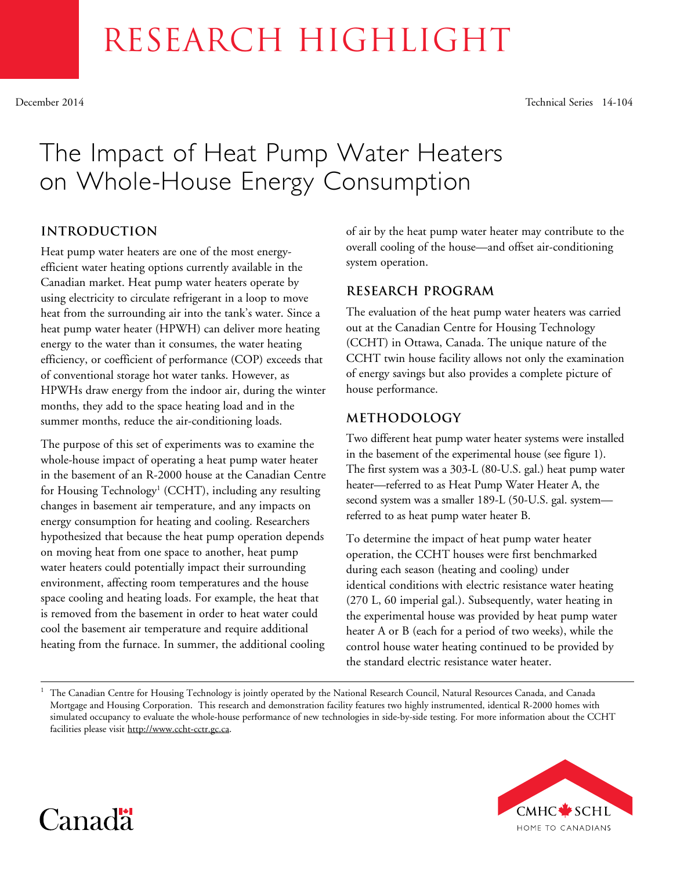# RESEARCH HIGHLIGHT

December 2014 Technical Series 14-104

# The Impact of Heat Pump Water Heaters on Whole-House Energy Consumption

# **INTRODUCTION**

Heat pump water heaters are one of the most energyefficient water heating options currently available in the Canadian market. Heat pump water heaters operate by using electricity to circulate refrigerant in a loop to move heat from the surrounding air into the tank's water. Since a heat pump water heater (HPWH) can deliver more heating energy to the water than it consumes, the water heating efficiency, or coefficient of performance (COP) exceeds that of conventional storage hot water tanks. However, as HPWHs draw energy from the indoor air, during the winter months, they add to the space heating load and in the summer months, reduce the air-conditioning loads.

The purpose of this set of experiments was to examine the whole-house impact of operating a heat pump water heater in the basement of an R-2000 house at the Canadian Centre for Housing Technology<sup>1</sup> (CCHT), including any resulting changes in basement air temperature, and any impacts on energy consumption for heating and cooling. Researchers hypothesized that because the heat pump operation depends on moving heat from one space to another, heat pump water heaters could potentially impact their surrounding environment, affecting room temperatures and the house space cooling and heating loads. For example, the heat that is removed from the basement in order to heat water could cool the basement air temperature and require additional heating from the furnace. In summer, the additional cooling

of air by the heat pump water heater may contribute to the overall cooling of the house—and offset air-conditioning system operation.

# **RESEARCH PROGRAM**

The evaluation of the heat pump water heaters was carried out at the Canadian Centre for Housing Technology (CCHT) in Ottawa, Canada. The unique nature of the CCHT twin house facility allows not only the examination of energy savings but also provides a complete picture of house performance.

# **METHODOLOGY**

Two different heat pump water heater systems were installed in the basement of the experimental house (see figure 1). The first system was a 303-L (80-U.S. gal.) heat pump water heater—referred to as Heat Pump Water Heater A, the second system was a smaller 189-L (50-U.S. gal. system referred to as heat pump water heater B.

To determine the impact of heat pump water heater operation, the CCHT houses were first benchmarked during each season (heating and cooling) under identical conditions with electric resistance water heating (270 L, 60 imperial gal.). Subsequently, water heating in the experimental house was provided by heat pump water heater A or B (each for a period of two weeks), while the control house water heating continued to be provided by the standard electric resistance water heater.

<sup>1</sup> The Canadian Centre for Housing Technology is jointly operated by the National Research Council, Natural Resources Canada, and Canada Mortgage and Housing Corporation. This research and demonstration facility features two highly instrumented, identical R-2000 homes with simulated occupancy to evaluate the whole-house performance of new technologies in side-by-side testing. For more information about the CCHT facilities please visit [http://www.ccht-cctr.gc.ca.](http://www.ccht-cctr.gc.ca)



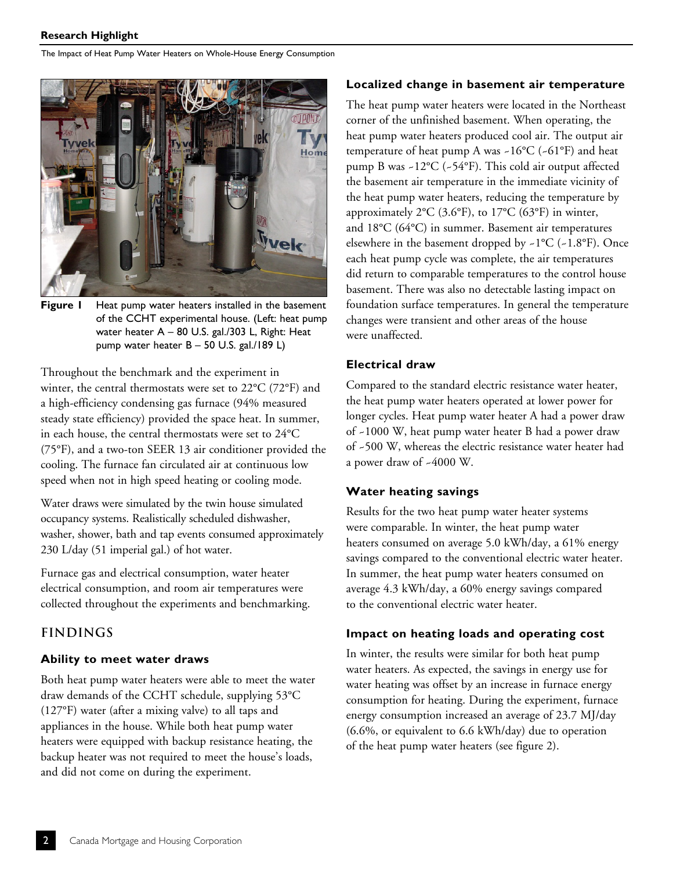

**Figure 1** Heat pump water heaters installed in the basement of the CCHT experimental house. (Left: heat pump water heater A – 80 U.S. gal./303 L, Right: Heat pump water heater B – 50 U.S. gal./189 L)

Throughout the benchmark and the experiment in winter, the central thermostats were set to 22°C (72°F) and a high-efficiency condensing gas furnace (94% measured steady state efficiency) provided the space heat. In summer, in each house, the central thermostats were set to 24°C (75°F), and a two-ton SEER 13 air conditioner provided the cooling. The furnace fan circulated air at continuous low speed when not in high speed heating or cooling mode.

Water draws were simulated by the twin house simulated occupancy systems. Realistically scheduled dishwasher, washer, shower, bath and tap events consumed approximately 230 L/day (51 imperial gal.) of hot water.

Furnace gas and electrical consumption, water heater electrical consumption, and room air temperatures were collected throughout the experiments and benchmarking.

# **FINDINGS**

#### **Ability to meet water draws**

Both heat pump water heaters were able to meet the water draw demands of the CCHT schedule, supplying 53°C (127°F) water (after a mixing valve) to all taps and appliances in the house. While both heat pump water heaters were equipped with backup resistance heating, the backup heater was not required to meet the house's loads, and did not come on during the experiment.

#### **Localized change in basement air temperature**

The heat pump water heaters were located in the Northeast corner of the unfinished basement. When operating, the heat pump water heaters produced cool air. The output air temperature of heat pump A was  $-16^{\circ}C$  ( $-61^{\circ}F$ ) and heat pump B was ~12°C (~54°F). This cold air output affected the basement air temperature in the immediate vicinity of the heat pump water heaters, reducing the temperature by approximately  $2^{\circ}C$  (3.6°F), to  $17^{\circ}C$  (63°F) in winter, and 18°C (64°C) in summer. Basement air temperatures elsewhere in the basement dropped by  $\sim 1^{\circ}C$  ( $\sim 1.8^{\circ}F$ ). Once each heat pump cycle was complete, the air temperatures did return to comparable temperatures to the control house basement. There was also no detectable lasting impact on foundation surface temperatures. In general the temperature changes were transient and other areas of the house were unaffected.

#### **Electrical draw**

Compared to the standard electric resistance water heater, the heat pump water heaters operated at lower power for longer cycles. Heat pump water heater A had a power draw of ~1000 W, heat pump water heater B had a power draw of ~500 W, whereas the electric resistance water heater had a power draw of ~4000 W.

#### **Water heating savings**

Results for the two heat pump water heater systems were comparable. In winter, the heat pump water heaters consumed on average 5.0 kWh/day, a 61% energy savings compared to the conventional electric water heater. In summer, the heat pump water heaters consumed on average 4.3 kWh/day, a 60% energy savings compared to the conventional electric water heater.

#### **Impact on heating loads and operating cost**

In winter, the results were similar for both heat pump water heaters. As expected, the savings in energy use for water heating was offset by an increase in furnace energy consumption for heating. During the experiment, furnace energy consumption increased an average of 23.7 MJ/day (6.6%, or equivalent to 6.6 kWh/day) due to operation of the heat pump water heaters (see figure 2).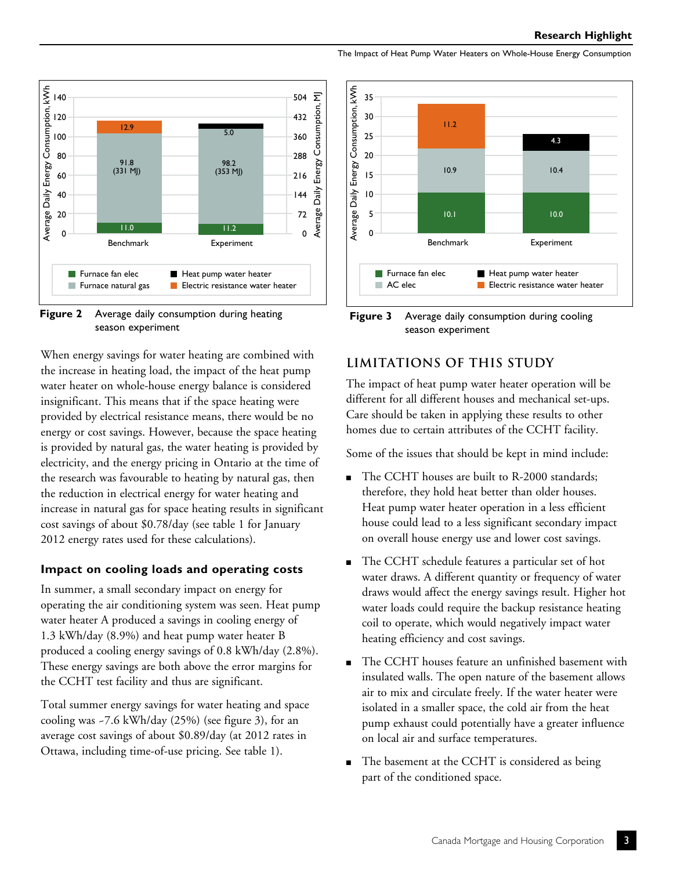



When energy savings for water heating are combined with the increase in heating load, the impact of the heat pump water heater on whole-house energy balance is considered insignificant. This means that if the space heating were provided by electrical resistance means, there would be no energy or cost savings. However, because the space heating is provided by natural gas, the water heating is provided by electricity, and the energy pricing in Ontario at the time of the research was favourable to heating by natural gas, then the reduction in electrical energy for water heating and increase in natural gas for space heating results in significant cost savings of about \$0.78/day (see table 1 for January 2012 energy rates used for these calculations).

#### **Impact on cooling loads and operating costs**

In summer, a small secondary impact on energy for operating the air conditioning system was seen. Heat pump water heater A produced a savings in cooling energy of 1.3 kWh/day (8.9%) and heat pump water heater B produced a cooling energy savings of 0.8 kWh/day (2.8%). These energy savings are both above the error margins for the CCHT test facility and thus are significant.

Total summer energy savings for water heating and space cooling was ~7.6 kWh/day (25%) (see figure 3), for an average cost savings of about \$0.89/day (at 2012 rates in Ottawa, including time-of-use pricing. See table 1).



The Impact of Heat Pump Water Heaters on Whole-House Energy Consumption

**Figure 3** Average daily consumption during cooling season experiment

# **LIMITATIONS OF THIS STUDY**

The impact of heat pump water heater operation will be different for all different houses and mechanical set-ups. Care should be taken in applying these results to other homes due to certain attributes of the CCHT facility.

Some of the issues that should be kept in mind include:

- The CCHT houses are built to R-2000 standards; therefore, they hold heat better than older houses. Heat pump water heater operation in a less efficient house could lead to a less significant secondary impact on overall house energy use and lower cost savings.
- The CCHT schedule features a particular set of hot water draws. A different quantity or frequency of water draws would affect the energy savings result. Higher hot water loads could require the backup resistance heating coil to operate, which would negatively impact water heating efficiency and cost savings.
- The CCHT houses feature an unfinished basement with insulated walls. The open nature of the basement allows air to mix and circulate freely. If the water heater were isolated in a smaller space, the cold air from the heat pump exhaust could potentially have a greater influence on local air and surface temperatures.
- The basement at the CCHT is considered as being part of the conditioned space.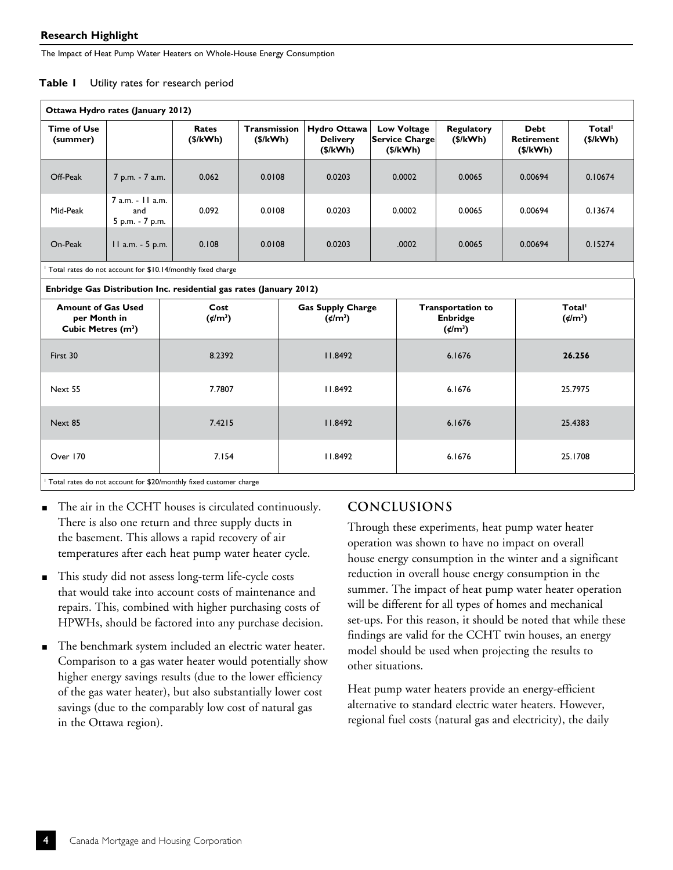| Table I |  |  |  | Utility rates for research period |  |
|---------|--|--|--|-----------------------------------|--|
|---------|--|--|--|-----------------------------------|--|

| Ottawa Hydro rates (January 2012)                                           |                                            |                                     |                          |                                                |                                                  |                                                                       |                                              |                                          |  |  |  |  |  |  |  |  |
|-----------------------------------------------------------------------------|--------------------------------------------|-------------------------------------|--------------------------|------------------------------------------------|--------------------------------------------------|-----------------------------------------------------------------------|----------------------------------------------|------------------------------------------|--|--|--|--|--|--|--|--|
| <b>Time of Use</b><br>(summer)                                              |                                            | Rates<br>(\$/kWh)                   | Transmission<br>(\$/kWh) | Hydro Ottawa<br><b>Delivery</b><br>(\$/kWh)    | <b>Low Voltage</b><br>Service Charge<br>(\$/kWh) | <b>Regulatory</b><br>(\$/kWh)                                         | <b>Debt</b><br><b>Retirement</b><br>(\$/kWh) | Total <sup>1</sup><br>(\$/kWh)           |  |  |  |  |  |  |  |  |
| Off-Peak                                                                    | 7 p.m. - 7 a.m.                            | 0.062                               | 0.0108                   | 0.0203                                         | 0.0002                                           | 0.0065                                                                | 0.00694                                      | 0.10674                                  |  |  |  |  |  |  |  |  |
| Mid-Peak                                                                    | 7 a.m. - 11 a.m.<br>and<br>5 p.m. - 7 p.m. | 0.092                               | 0.0108                   | 0.0203                                         | 0.0002                                           | 0.0065                                                                | 0.00694                                      | 0.13674                                  |  |  |  |  |  |  |  |  |
| On-Peak                                                                     | 11 a.m. - 5 p.m.                           | 0.108                               | 0.0108                   | 0.0203                                         | .0002                                            | 0.0065                                                                | 0.00694                                      | 0.15274                                  |  |  |  |  |  |  |  |  |
| Total rates do not account for \$10.14/monthly fixed charge                 |                                            |                                     |                          |                                                |                                                  |                                                                       |                                              |                                          |  |  |  |  |  |  |  |  |
| Enbridge Gas Distribution Inc. residential gas rates (January 2012)         |                                            |                                     |                          |                                                |                                                  |                                                                       |                                              |                                          |  |  |  |  |  |  |  |  |
| <b>Amount of Gas Used</b><br>per Month in<br>Cubic Metres (m <sup>3</sup> ) |                                            | Cost<br>$({\rlap{/} \epsilon}/m^3)$ |                          | <b>Gas Supply Charge</b><br>$({\rm \ell/m^3})$ |                                                  | <b>Transportation to</b><br><b>Enbridge</b><br>$({\rlap{/} \mu/m^3})$ |                                              | Total <sup>1</sup><br>$({\rm \ell/m^3})$ |  |  |  |  |  |  |  |  |
| First 30                                                                    |                                            | 8.2392                              |                          | 11.8492                                        | 6.1676                                           |                                                                       |                                              | 26.256                                   |  |  |  |  |  |  |  |  |
| Next 55<br>7.7807                                                           |                                            |                                     | 11.8492                  |                                                | 6.1676                                           |                                                                       | 25.7975                                      |                                          |  |  |  |  |  |  |  |  |
| Next 85                                                                     | 7.4215<br>11.8492                          |                                     |                          | 6.1676                                         |                                                  | 25.4383                                                               |                                              |                                          |  |  |  |  |  |  |  |  |
| Over 170                                                                    |                                            | 7.154                               |                          |                                                |                                                  | 6.1676                                                                |                                              | 25.1708                                  |  |  |  |  |  |  |  |  |
|                                                                             |                                            |                                     |                          |                                                |                                                  |                                                                       |                                              |                                          |  |  |  |  |  |  |  |  |

1 Total rates do not account for \$20/monthly fixed customer charge

- The air in the CCHT houses is circulated continuously. There is also one return and three supply ducts in the basement. This allows a rapid recovery of air temperatures after each heat pump water heater cycle.
- This study did not assess long-term life-cycle costs that would take into account costs of maintenance and repairs. This, combined with higher purchasing costs of HPWHs, should be factored into any purchase decision.
- The benchmark system included an electric water heater. Comparison to a gas water heater would potentially show higher energy savings results (due to the lower efficiency of the gas water heater), but also substantially lower cost savings (due to the comparably low cost of natural gas in the Ottawa region).

# **CONCLUSIONS**

Through these experiments, heat pump water heater operation was shown to have no impact on overall house energy consumption in the winter and a significant reduction in overall house energy consumption in the summer. The impact of heat pump water heater operation will be different for all types of homes and mechanical set-ups. For this reason, it should be noted that while these findings are valid for the CCHT twin houses, an energy model should be used when projecting the results to other situations.

Heat pump water heaters provide an energy-efficient alternative to standard electric water heaters. However, regional fuel costs (natural gas and electricity), the daily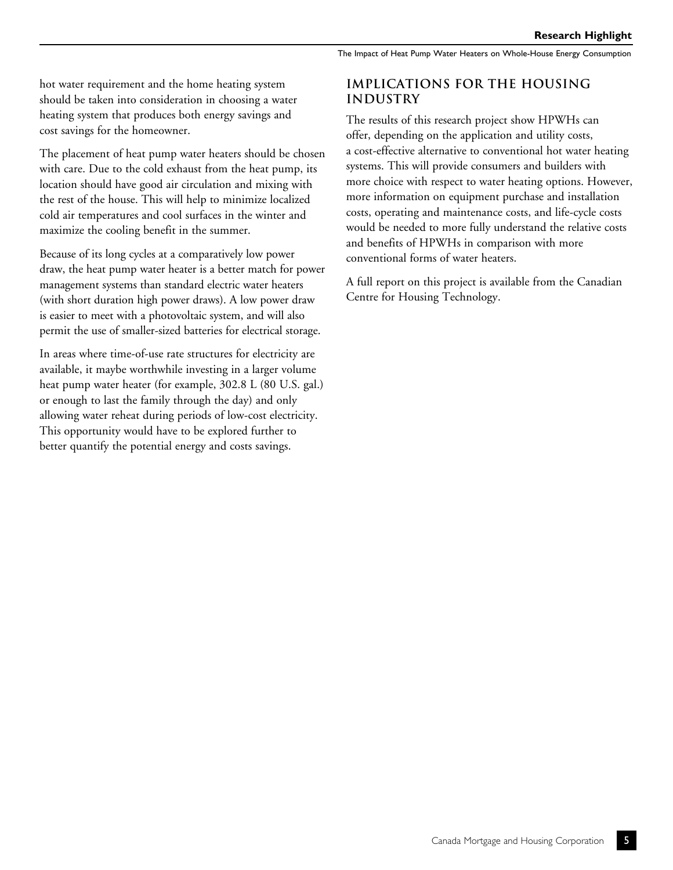hot water requirement and the home heating system should be taken into consideration in choosing a water heating system that produces both energy savings and cost savings for the homeowner.

The placement of heat pump water heaters should be chosen with care. Due to the cold exhaust from the heat pump, its location should have good air circulation and mixing with the rest of the house. This will help to minimize localized cold air temperatures and cool surfaces in the winter and maximize the cooling benefit in the summer.

Because of its long cycles at a comparatively low power draw, the heat pump water heater is a better match for power management systems than standard electric water heaters (with short duration high power draws). A low power draw is easier to meet with a photovoltaic system, and will also permit the use of smaller-sized batteries for electrical storage.

In areas where time-of-use rate structures for electricity are available, it maybe worthwhile investing in a larger volume heat pump water heater (for example, 302.8 L (80 U.S. gal.) or enough to last the family through the day) and only allowing water reheat during periods of low-cost electricity. This opportunity would have to be explored further to better quantify the potential energy and costs savings.

### **IMPLICATIONS FOR THE HOUSING INDUSTRY**

The results of this research project show HPWHs can offer, depending on the application and utility costs, a cost-effective alternative to conventional hot water heating systems. This will provide consumers and builders with more choice with respect to water heating options. However, more information on equipment purchase and installation costs, operating and maintenance costs, and life-cycle costs would be needed to more fully understand the relative costs and benefits of HPWHs in comparison with more conventional forms of water heaters.

A full report on this project is available from the Canadian Centre for Housing Technology.